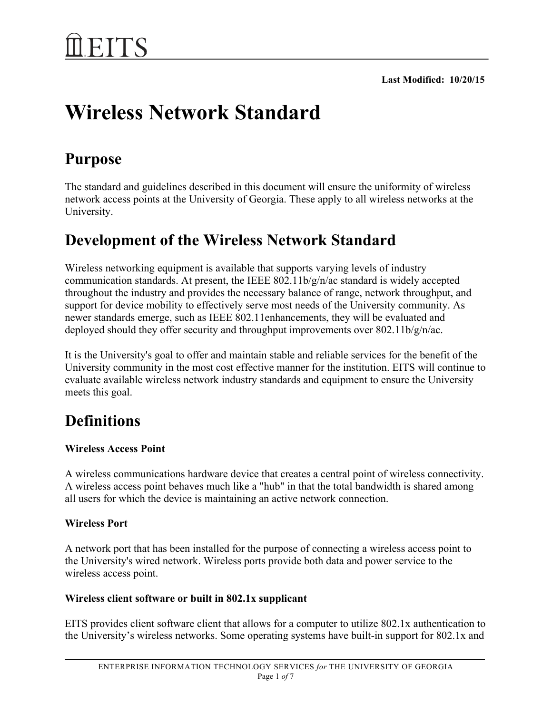# **Wireless Network Standard**

# **Purpose**

The standard and guidelines described in this document will ensure the uniformity of wireless network access points at the University of Georgia. These apply to all wireless networks at the University.

# **Development of the Wireless Network Standard**

Wireless networking equipment is available that supports varying levels of industry communication standards. At present, the IEEE 802.11b/g/n/ac standard is widely accepted throughout the industry and provides the necessary balance of range, network throughput, and support for device mobility to effectively serve most needs of the University community. As newer standards emerge, such as IEEE 802.11enhancements, they will be evaluated and deployed should they offer security and throughput improvements over 802.11b/g/n/ac.

It is the University's goal to offer and maintain stable and reliable services for the benefit of the University community in the most cost effective manner for the institution. EITS will continue to evaluate available wireless network industry standards and equipment to ensure the University meets this goal.

# **Definitions**

# **Wireless Access Point**

A wireless communications hardware device that creates a central point of wireless connectivity. A wireless access point behaves much like a "hub" in that the total bandwidth is shared among all users for which the device is maintaining an active network connection.

# **Wireless Port**

A network port that has been installed for the purpose of connecting a wireless access point to the University's wired network. Wireless ports provide both data and power service to the wireless access point.

# **Wireless client software or built in 802.1x supplicant**

EITS provides client software client that allows for a computer to utilize 802.1x authentication to the University's wireless networks. Some operating systems have built-in support for 802.1x and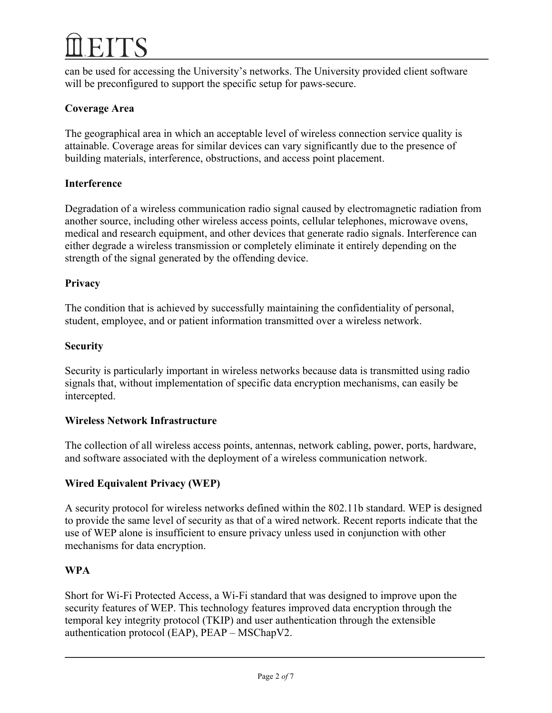can be used for accessing the University's networks. The University provided client software will be preconfigured to support the specific setup for paws-secure.

# **Coverage Area**

The geographical area in which an acceptable level of wireless connection service quality is attainable. Coverage areas for similar devices can vary significantly due to the presence of building materials, interference, obstructions, and access point placement.

# **Interference**

Degradation of a wireless communication radio signal caused by electromagnetic radiation from another source, including other wireless access points, cellular telephones, microwave ovens, medical and research equipment, and other devices that generate radio signals. Interference can either degrade a wireless transmission or completely eliminate it entirely depending on the strength of the signal generated by the offending device.

### **Privacy**

The condition that is achieved by successfully maintaining the confidentiality of personal, student, employee, and or patient information transmitted over a wireless network.

### **Security**

Security is particularly important in wireless networks because data is transmitted using radio signals that, without implementation of specific data encryption mechanisms, can easily be intercepted.

### **Wireless Network Infrastructure**

The collection of all wireless access points, antennas, network cabling, power, ports, hardware, and software associated with the deployment of a wireless communication network.

# **Wired Equivalent Privacy (WEP)**

A security protocol for wireless networks defined within the 802.11b standard. WEP is designed to provide the same level of security as that of a wired network. Recent reports indicate that the use of WEP alone is insufficient to ensure privacy unless used in conjunction with other mechanisms for data encryption.

# **WPA**

Short for Wi-Fi Protected Access, a Wi-Fi standard that was designed to improve upon the security features of WEP. This technology features improved data encryption through the temporal key integrity protocol (TKIP) and user authentication through the extensible authentication protocol (EAP), PEAP – MSChapV2.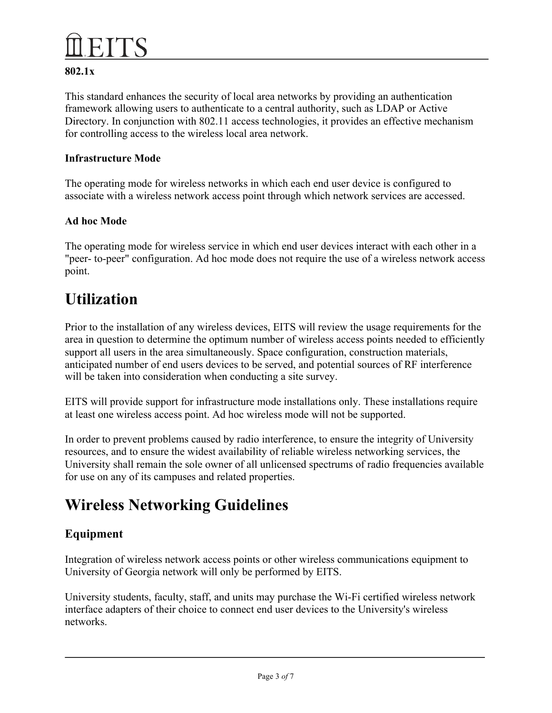# **802.1x**

This standard enhances the security of local area networks by providing an authentication framework allowing users to authenticate to a central authority, such as LDAP or Active Directory. In conjunction with 802.11 access technologies, it provides an effective mechanism for controlling access to the wireless local area network.

### **Infrastructure Mode**

The operating mode for wireless networks in which each end user device is configured to associate with a wireless network access point through which network services are accessed.

### **Ad hoc Mode**

The operating mode for wireless service in which end user devices interact with each other in a "peer- to-peer" configuration. Ad hoc mode does not require the use of a wireless network access point.

# **Utilization**

Prior to the installation of any wireless devices, EITS will review the usage requirements for the area in question to determine the optimum number of wireless access points needed to efficiently support all users in the area simultaneously. Space configuration, construction materials, anticipated number of end users devices to be served, and potential sources of RF interference will be taken into consideration when conducting a site survey.

EITS will provide support for infrastructure mode installations only. These installations require at least one wireless access point. Ad hoc wireless mode will not be supported.

In order to prevent problems caused by radio interference, to ensure the integrity of University resources, and to ensure the widest availability of reliable wireless networking services, the University shall remain the sole owner of all unlicensed spectrums of radio frequencies available for use on any of its campuses and related properties.

# **Wireless Networking Guidelines**

# **Equipment**

Integration of wireless network access points or other wireless communications equipment to University of Georgia network will only be performed by EITS.

University students, faculty, staff, and units may purchase the Wi-Fi certified wireless network interface adapters of their choice to connect end user devices to the University's wireless networks.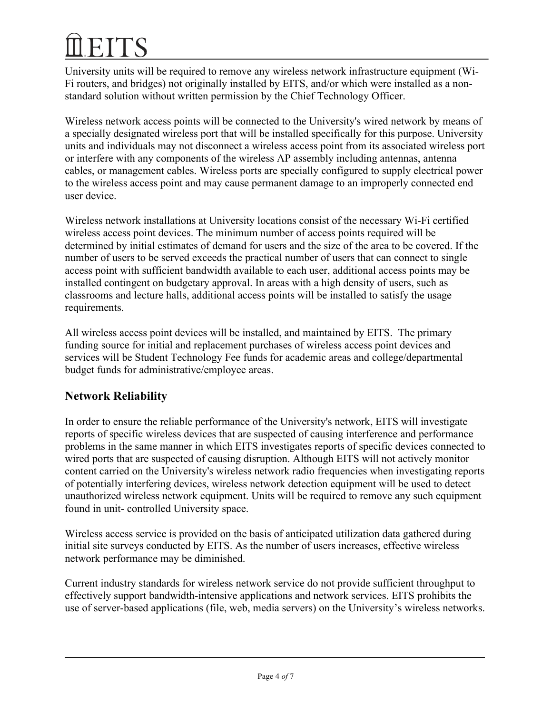University units will be required to remove any wireless network infrastructure equipment (Wi-Fi routers, and bridges) not originally installed by EITS, and/or which were installed as a nonstandard solution without written permission by the Chief Technology Officer.

Wireless network access points will be connected to the University's wired network by means of a specially designated wireless port that will be installed specifically for this purpose. University units and individuals may not disconnect a wireless access point from its associated wireless port or interfere with any components of the wireless AP assembly including antennas, antenna cables, or management cables. Wireless ports are specially configured to supply electrical power to the wireless access point and may cause permanent damage to an improperly connected end user device.

Wireless network installations at University locations consist of the necessary Wi-Fi certified wireless access point devices. The minimum number of access points required will be determined by initial estimates of demand for users and the size of the area to be covered. If the number of users to be served exceeds the practical number of users that can connect to single access point with sufficient bandwidth available to each user, additional access points may be installed contingent on budgetary approval. In areas with a high density of users, such as classrooms and lecture halls, additional access points will be installed to satisfy the usage requirements.

All wireless access point devices will be installed, and maintained by EITS. The primary funding source for initial and replacement purchases of wireless access point devices and services will be Student Technology Fee funds for academic areas and college/departmental budget funds for administrative/employee areas.

# **Network Reliability**

In order to ensure the reliable performance of the University's network, EITS will investigate reports of specific wireless devices that are suspected of causing interference and performance problems in the same manner in which EITS investigates reports of specific devices connected to wired ports that are suspected of causing disruption. Although EITS will not actively monitor content carried on the University's wireless network radio frequencies when investigating reports of potentially interfering devices, wireless network detection equipment will be used to detect unauthorized wireless network equipment. Units will be required to remove any such equipment found in unit- controlled University space.

Wireless access service is provided on the basis of anticipated utilization data gathered during initial site surveys conducted by EITS. As the number of users increases, effective wireless network performance may be diminished.

Current industry standards for wireless network service do not provide sufficient throughput to effectively support bandwidth-intensive applications and network services. EITS prohibits the use of server-based applications (file, web, media servers) on the University's wireless networks.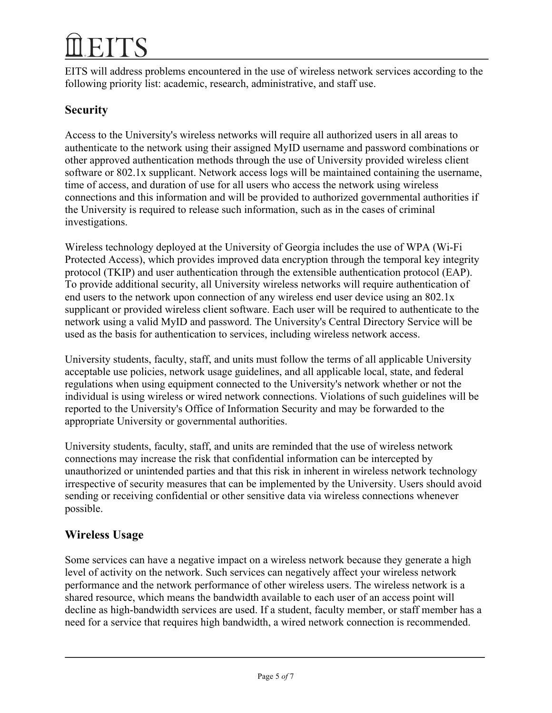EITS will address problems encountered in the use of wireless network services according to the following priority list: academic, research, administrative, and staff use.

# **Security**

Access to the University's wireless networks will require all authorized users in all areas to authenticate to the network using their assigned MyID username and password combinations or other approved authentication methods through the use of University provided wireless client software or 802.1x supplicant. Network access logs will be maintained containing the username, time of access, and duration of use for all users who access the network using wireless connections and this information and will be provided to authorized governmental authorities if the University is required to release such information, such as in the cases of criminal investigations.

Wireless technology deployed at the University of Georgia includes the use of WPA (Wi-Fi Protected Access), which provides improved data encryption through the temporal key integrity protocol (TKIP) and user authentication through the extensible authentication protocol (EAP). To provide additional security, all University wireless networks will require authentication of end users to the network upon connection of any wireless end user device using an 802.1x supplicant or provided wireless client software. Each user will be required to authenticate to the network using a valid MyID and password. The University's Central Directory Service will be used as the basis for authentication to services, including wireless network access.

University students, faculty, staff, and units must follow the terms of all applicable University acceptable use policies, network usage guidelines, and all applicable local, state, and federal regulations when using equipment connected to the University's network whether or not the individual is using wireless or wired network connections. Violations of such guidelines will be reported to the University's Office of Information Security and may be forwarded to the appropriate University or governmental authorities.

University students, faculty, staff, and units are reminded that the use of wireless network connections may increase the risk that confidential information can be intercepted by unauthorized or unintended parties and that this risk in inherent in wireless network technology irrespective of security measures that can be implemented by the University. Users should avoid sending or receiving confidential or other sensitive data via wireless connections whenever possible.

# **Wireless Usage**

Some services can have a negative impact on a wireless network because they generate a high level of activity on the network. Such services can negatively affect your wireless network performance and the network performance of other wireless users. The wireless network is a shared resource, which means the bandwidth available to each user of an access point will decline as high-bandwidth services are used. If a student, faculty member, or staff member has a need for a service that requires high bandwidth, a wired network connection is recommended.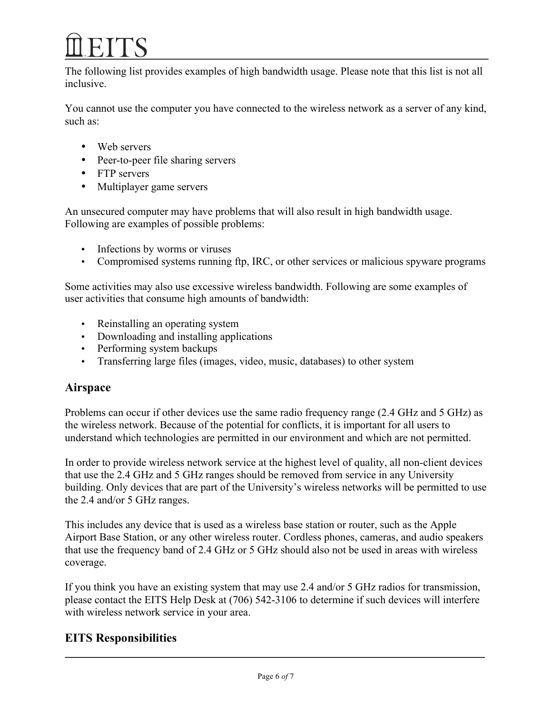The following list provides examples of high bandwidth usage. Please note that this list is not all inclusive.

You cannot use the computer you have connected to the wireless network as a server of any kind, such as:

- Web servers
- Peer-to-peer file sharing servers
- FTP servers
- Multiplayer game servers

An unsecured computer may have problems that will also result in high bandwidth usage. Following are examples of possible problems:

- Infections by worms or viruses
- Compromised systems running ftp, IRC, or other services or malicious spyware programs

Some activities may also use excessive wireless bandwidth. Following are some examples of user activities that consume high amounts of bandwidth:

- Reinstalling an operating system
- Downloading and installing applications
- Performing system backups
- Transferring large files (images, video, music, databases) to other system

# **Airspace**

Problems can occur if other devices use the same radio frequency range (2.4 GHz and 5 GHz) as the wireless network. Because of the potential for conflicts, it is important for all users to understand which technologies are permitted in our environment and which are not permitted.

In order to provide wireless network service at the highest level of quality, all non-client devices that use the 2.4 GHz and 5 GHz ranges should be removed from service in any University building. Only devices that are part of the University's wireless networks will be permitted to use the 2.4 and/or 5 GHz ranges.

This includes any device that is used as a wireless base station or router, such as the Apple Airport Base Station, or any other wireless router. Cordless phones, cameras, and audio speakers that use the frequency band of 2.4 GHz or 5 GHz should also not be used in areas with wireless coverage.

If you think you have an existing system that may use 2.4 and/or 5 GHz radios for transmission, please contact the EITS Help Desk at (706) 542-3106 to determine if such devices will interfere with wireless network service in your area.

# **EITS Responsibilities**